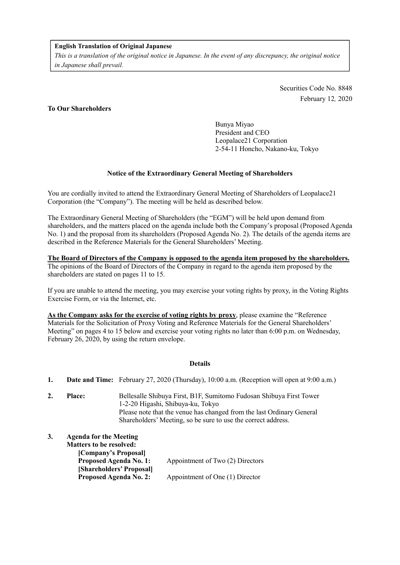### **English Translation of Original Japanese**

*This is a translation of the original notice in Japanese. In the event of any discrepancy, the original notice in Japanese shall prevail.*

> Securities Code No. 8848 February 12, 2020

## **To Our Shareholders**

Bunya Miyao President and CEO Leopalace21 Corporation 2-54-11 Honcho, Nakano-ku, Tokyo

## **Notice of the Extraordinary General Meeting of Shareholders**

You are cordially invited to attend the Extraordinary General Meeting of Shareholders of Leopalace21 Corporation (the "Company"). The meeting will be held as described below.

The Extraordinary General Meeting of Shareholders (the "EGM") will be held upon demand from shareholders, and the matters placed on the agenda include both the Company's proposal (Proposed Agenda No. 1) and the proposal from its shareholders (Proposed Agenda No. 2). The details of the agenda items are described in the Reference Materials for the General Shareholders' Meeting.

### **The Board of Directors of the Company is opposed to the agenda item proposed by the shareholders.** The opinions of the Board of Directors of the Company in regard to the agenda item proposed by the shareholders are stated on pages 11 to 15.

If you are unable to attend the meeting, you may exercise your voting rights by proxy, in the Voting Rights Exercise Form, or via the Internet, etc.

**As the Company asks for the exercise of voting rights by proxy**, please examine the "Reference Materials for the Solicitation of Proxy Voting and Reference Materials for the General Shareholders' Meeting" on pages 4 to 15 below and exercise your voting rights no later than 6:00 p.m. on Wednesday, February 26, 2020, by using the return envelope.

### **Details**

- **1. Date and Time:** February 27, 2020 (Thursday), 10:00 a.m. (Reception will open at 9:00 a.m.)
- **2. Place:** Bellesalle Shibuya First, B1F, Sumitomo Fudosan Shibuya First Tower 1-2-20 Higashi, Shibuya-ku, Tokyo Please note that the venue has changed from the last Ordinary General Shareholders' Meeting, so be sure to use the correct address.

| 3. | <b>Agenda for the Meeting</b>  |                                  |
|----|--------------------------------|----------------------------------|
|    | <b>Matters to be resolved:</b> |                                  |
|    | [Company's Proposal]           |                                  |
|    | <b>Proposed Agenda No. 1:</b>  | Appointment of Two (2) Directors |
|    | [Shareholders' Proposal]       |                                  |
|    | <b>Proposed Agenda No. 2:</b>  | Appointment of One (1) Director  |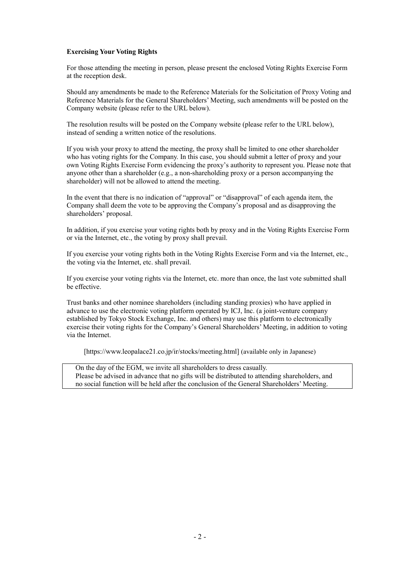## **Exercising Your Voting Rights**

For those attending the meeting in person, please present the enclosed Voting Rights Exercise Form at the reception desk.

Should any amendments be made to the Reference Materials for the Solicitation of Proxy Voting and Reference Materials for the General Shareholders' Meeting, such amendments will be posted on the Company website (please refer to the URL below).

The resolution results will be posted on the Company website (please refer to the URL below), instead of sending a written notice of the resolutions.

If you wish your proxy to attend the meeting, the proxy shall be limited to one other shareholder who has voting rights for the Company. In this case, you should submit a letter of proxy and your own Voting Rights Exercise Form evidencing the proxy's authority to represent you. Please note that anyone other than a shareholder (e.g., a non-shareholding proxy or a person accompanying the shareholder) will not be allowed to attend the meeting.

In the event that there is no indication of "approval" or "disapproval" of each agenda item, the Company shall deem the vote to be approving the Company's proposal and as disapproving the shareholders' proposal.

In addition, if you exercise your voting rights both by proxy and in the Voting Rights Exercise Form or via the Internet, etc., the voting by proxy shall prevail.

If you exercise your voting rights both in the Voting Rights Exercise Form and via the Internet, etc., the voting via the Internet, etc. shall prevail.

If you exercise your voting rights via the Internet, etc. more than once, the last vote submitted shall be effective.

Trust banks and other nominee shareholders (including standing proxies) who have applied in advance to use the electronic voting platform operated by ICJ, Inc. (a joint-venture company established by Tokyo Stock Exchange, Inc. and others) may use this platform to electronically exercise their voting rights for the Company's General Shareholders' Meeting, in addition to voting via the Internet.

[https://www.leopalace21.co.jp/ir/stocks/meeting.html] (available only in Japanese)

On the day of the EGM, we invite all shareholders to dress casually. Please be advised in advance that no gifts will be distributed to attending shareholders, and no social function will be held after the conclusion of the General Shareholders' Meeting.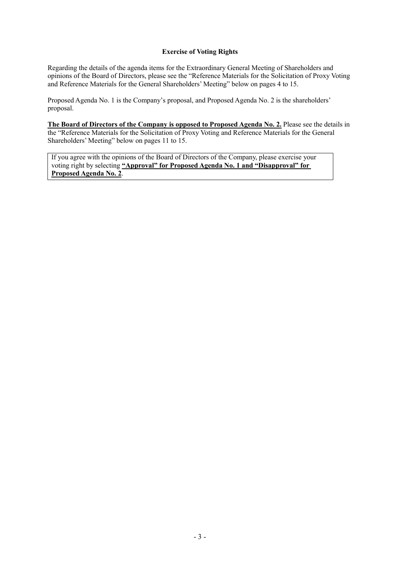## **Exercise of Voting Rights**

Regarding the details of the agenda items for the Extraordinary General Meeting of Shareholders and opinions of the Board of Directors, please see the "Reference Materials for the Solicitation of Proxy Voting and Reference Materials for the General Shareholders' Meeting" below on pages 4 to 15.

Proposed Agenda No. 1 is the Company's proposal, and Proposed Agenda No. 2 is the shareholders' proposal.

**The Board of Directors of the Company is opposed to Proposed Agenda No. 2.** Please see the details in the "Reference Materials for the Solicitation of Proxy Voting and Reference Materials for the General Shareholders' Meeting" below on pages 11 to 15.

If you agree with the opinions of the Board of Directors of the Company, please exercise your voting right by selecting **"Approval" for Proposed Agenda No. 1 and "Disapproval" for Proposed Agenda No. 2**.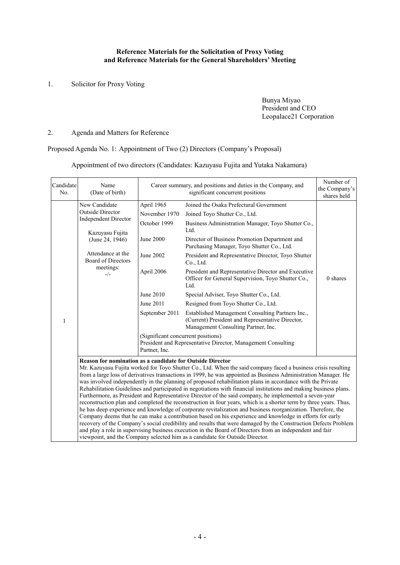## **Reference Materials for the Solicitation of Proxy Voting and Reference Materials for the General Shareholders' Meeting**

1. Solicitor for Proxy Voting

Bunya Miyao President and CEO Leopalace21 Corporation

# 2. Agenda and Matters for Reference

Proposed Agenda No. 1: Appointment of Two (2) Directors (Company's Proposal)

Appointment of two directors (Candidates: Kazuyasu Fujita and Yutaka Nakamura)

| Candidate<br>No. | Name<br>(Date of birth)                                                                                                                                                                                                                                                                                                                                                                                                                                                                                                                                                                                                                                                                                                                                                                                                                                                                                                                                                                                                                                                                                                                                                                                                                                                                                         |                                                                                                 | Career summary, and positions and duties in the Company, and<br>significant concurrent positions                                                                                                                                                                                                                                                                                                                       | Number of<br>the Company's<br>shares held |
|------------------|-----------------------------------------------------------------------------------------------------------------------------------------------------------------------------------------------------------------------------------------------------------------------------------------------------------------------------------------------------------------------------------------------------------------------------------------------------------------------------------------------------------------------------------------------------------------------------------------------------------------------------------------------------------------------------------------------------------------------------------------------------------------------------------------------------------------------------------------------------------------------------------------------------------------------------------------------------------------------------------------------------------------------------------------------------------------------------------------------------------------------------------------------------------------------------------------------------------------------------------------------------------------------------------------------------------------|-------------------------------------------------------------------------------------------------|------------------------------------------------------------------------------------------------------------------------------------------------------------------------------------------------------------------------------------------------------------------------------------------------------------------------------------------------------------------------------------------------------------------------|-------------------------------------------|
| $\mathbf{1}$     | New Candidate<br><b>Outside Director</b><br><b>Independent Director</b><br>Kazuyasu Fujita<br>(June 24, 1946)<br>Attendance at the<br>Board of Directors<br>meetings:<br>$-/-$                                                                                                                                                                                                                                                                                                                                                                                                                                                                                                                                                                                                                                                                                                                                                                                                                                                                                                                                                                                                                                                                                                                                  | April 1965<br>November 1970<br>October 1999<br>June 2000<br>June 2002<br>April 2006             | Joined the Osaka Prefectural Government<br>Joined Toyo Shutter Co., Ltd.<br>Business Administration Manager, Toyo Shutter Co.,<br>Ltd.<br>Director of Business Promotion Department and<br>Purchasing Manager, Toyo Shutter Co., Ltd.<br>President and Representative Director, Toyo Shutter<br>Co., Ltd.<br>President and Representative Director and Executive<br>Officer for General Supervision, Toyo Shutter Co., | 0 shares                                  |
|                  |                                                                                                                                                                                                                                                                                                                                                                                                                                                                                                                                                                                                                                                                                                                                                                                                                                                                                                                                                                                                                                                                                                                                                                                                                                                                                                                 | June 2010<br>June 2011<br>September 2011<br>(Significant concurrent positions)<br>Partner, Inc. | Ltd.<br>Special Adviser, Toyo Shutter Co., Ltd.<br>Resigned from Toyo Shutter Co., Ltd.<br>Established Management Consulting Partners Inc.,<br>(Current) President and Representative Director,<br>Management Consulting Partner, Inc.<br>President and Representative Director, Management Consulting                                                                                                                 |                                           |
|                  | <b>Reason for nomination as a candidate for Outside Director</b><br>Mr. Kazuyasu Fujita worked for Toyo Shutter Co., Ltd. When the said company faced a business crisis resulting<br>from a large loss of derivatives transactions in 1999, he was appointed as Business Administration Manager. He<br>was involved independently in the planning of proposed rehabilitation plans in accordance with the Private<br>Rehabilitation Guidelines and participated in negotiations with financial institutions and making business plans.<br>Furthermore, as President and Representative Director of the said company, he implemented a seven-year<br>reconstruction plan and completed the reconstruction in four years, which is a shorter term by three years. Thus,<br>he has deep experience and knowledge of corporate revitalization and business reorganization. Therefore, the<br>Company deems that he can make a contribution based on his experience and knowledge in efforts for early<br>recovery of the Company's social credibility and results that were damaged by the Construction Defects Problem<br>and play a role in supervising business execution in the Board of Directors from an independent and fair<br>viewpoint, and the Company selected him as a candidate for Outside Director. |                                                                                                 |                                                                                                                                                                                                                                                                                                                                                                                                                        |                                           |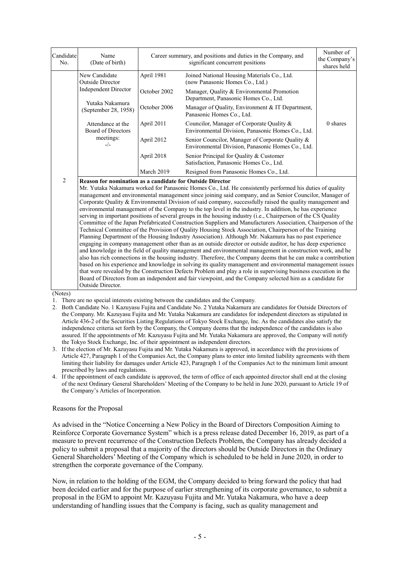| Candidate<br>No. | Name<br>(Date of birth)                                                                                                                                                                                                                                                                                                                                                                                                                                                                                                                                                                                                                                                                                                                                                                                                                                                                                                                                                                                                                                                                                                                                                                                                                                                                                                                                                                                                                                                                                                                                                                                                                                                               | Career summary, and positions and duties in the Company, and<br>significant concurrent positions |                                                                                                       | Number of<br>the Company's<br>shares held |  |
|------------------|---------------------------------------------------------------------------------------------------------------------------------------------------------------------------------------------------------------------------------------------------------------------------------------------------------------------------------------------------------------------------------------------------------------------------------------------------------------------------------------------------------------------------------------------------------------------------------------------------------------------------------------------------------------------------------------------------------------------------------------------------------------------------------------------------------------------------------------------------------------------------------------------------------------------------------------------------------------------------------------------------------------------------------------------------------------------------------------------------------------------------------------------------------------------------------------------------------------------------------------------------------------------------------------------------------------------------------------------------------------------------------------------------------------------------------------------------------------------------------------------------------------------------------------------------------------------------------------------------------------------------------------------------------------------------------------|--------------------------------------------------------------------------------------------------|-------------------------------------------------------------------------------------------------------|-------------------------------------------|--|
|                  | New Candidate<br>Outside Director<br><b>Independent Director</b><br>Yutaka Nakamura<br>(September 28, 1958)                                                                                                                                                                                                                                                                                                                                                                                                                                                                                                                                                                                                                                                                                                                                                                                                                                                                                                                                                                                                                                                                                                                                                                                                                                                                                                                                                                                                                                                                                                                                                                           | April 1981                                                                                       | Joined National Housing Materials Co., Ltd.<br>(now Panasonic Homes Co., Ltd.)                        |                                           |  |
|                  |                                                                                                                                                                                                                                                                                                                                                                                                                                                                                                                                                                                                                                                                                                                                                                                                                                                                                                                                                                                                                                                                                                                                                                                                                                                                                                                                                                                                                                                                                                                                                                                                                                                                                       | October 2002                                                                                     | Manager, Quality & Environmental Promotion<br>Department, Panasonic Homes Co., Ltd.                   |                                           |  |
|                  |                                                                                                                                                                                                                                                                                                                                                                                                                                                                                                                                                                                                                                                                                                                                                                                                                                                                                                                                                                                                                                                                                                                                                                                                                                                                                                                                                                                                                                                                                                                                                                                                                                                                                       | October 2006                                                                                     | Manager of Quality, Environment & IT Department,<br>Panasonic Homes Co., Ltd.                         |                                           |  |
|                  | Attendance at the<br>Board of Directors                                                                                                                                                                                                                                                                                                                                                                                                                                                                                                                                                                                                                                                                                                                                                                                                                                                                                                                                                                                                                                                                                                                                                                                                                                                                                                                                                                                                                                                                                                                                                                                                                                               | April 2011                                                                                       | Councilor, Manager of Corporate Quality &<br>Environmental Division, Panasonic Homes Co., Ltd.        | 0 shares                                  |  |
|                  | meetings:<br>$-/-$                                                                                                                                                                                                                                                                                                                                                                                                                                                                                                                                                                                                                                                                                                                                                                                                                                                                                                                                                                                                                                                                                                                                                                                                                                                                                                                                                                                                                                                                                                                                                                                                                                                                    | April 2012                                                                                       | Senior Councilor, Manager of Corporate Quality &<br>Environmental Division, Panasonic Homes Co., Ltd. |                                           |  |
|                  |                                                                                                                                                                                                                                                                                                                                                                                                                                                                                                                                                                                                                                                                                                                                                                                                                                                                                                                                                                                                                                                                                                                                                                                                                                                                                                                                                                                                                                                                                                                                                                                                                                                                                       | April 2018                                                                                       | Senior Principal for Quality & Customer<br>Satisfaction, Panasonic Homes Co., Ltd.                    |                                           |  |
|                  |                                                                                                                                                                                                                                                                                                                                                                                                                                                                                                                                                                                                                                                                                                                                                                                                                                                                                                                                                                                                                                                                                                                                                                                                                                                                                                                                                                                                                                                                                                                                                                                                                                                                                       | March 2019                                                                                       | Resigned from Panasonic Homes Co., Ltd.                                                               |                                           |  |
| $\overline{c}$   | Reason for nomination as a candidate for Outside Director<br>Mr. Yutaka Nakamura worked for Panasonic Homes Co., Ltd. He consistently performed his duties of quality<br>management and environmental management since joining said company, and as Senior Councilor, Manager of<br>Corporate Quality & Environmental Division of said company, successfully raised the quality management and<br>environmental management of the Company to the top level in the industry. In addition, he has experience<br>serving in important positions of several groups in the housing industry (i.e., Chairperson of the CS Quality<br>Committee of the Japan Prefabricated Construction Suppliers and Manufacturers Association, Chairperson of the<br>Technical Committee of the Provision of Quality Housing Stock Association, Chairperson of the Training<br>Planning Department of the Housing Industry Association). Although Mr. Nakamura has no past experience<br>engaging in company management other than as an outside director or outside auditor, he has deep experience<br>and knowledge in the field of quality management and environmental management in construction work, and he<br>also has rich connections in the housing industry. Therefore, the Company deems that he can make a contribution<br>based on his experience and knowledge in solving its quality management and environmental management issues<br>that were revealed by the Construction Defects Problem and play a role in supervising business execution in the<br>Board of Directors from an independent and fair viewpoint, and the Company selected him as a candidate for<br>Outside Director. |                                                                                                  |                                                                                                       |                                           |  |

(Notes)

1. There are no special interests existing between the candidates and the Company.

2. Both Candidate No. 1 Kazuyasu Fujita and Candidate No. 2 Yutaka Nakamura are candidates for Outside Directors of the Company. Mr. Kazuyasu Fujita and Mr. Yutaka Nakamura are candidates for independent directors as stipulated in Article 436-2 of the Securities Listing Regulations of Tokyo Stock Exchange, Inc. As the candidates also satisfy the independence criteria set forth by the Company, the Company deems that the independence of the candidates is also assured. If the appointments of Mr. Kazuyasu Fujita and Mr. Yutaka Nakamura are approved, the Company will notify the Tokyo Stock Exchange, Inc. of their appointment as independent directors.

3. If the election of Mr. Kazuyasu Fujita and Mr. Yutaka Nakamura is approved, in accordance with the provisions of Article 427, Paragraph 1 of the Companies Act, the Company plans to enter into limited liability agreements with them limiting their liability for damages under Article 423, Paragraph 1 of the Companies Act to the minimum limit amount prescribed by laws and regulations.

4. If the appointment of each candidate is approved, the term of office of each appointed director shall end at the closing of the next Ordinary General Shareholders' Meeting of the Company to be held in June 2020, pursuant to Article 19 of the Company's Articles of Incorporation.

### Reasons for the Proposal

As advised in the "Notice Concerning a New Policy in the Board of Directors Composition Aiming to Reinforce Corporate Governance System" which is a press release dated December 16, 2019, as part of a measure to prevent recurrence of the Construction Defects Problem, the Company has already decided a policy to submit a proposal that a majority of the directors should be Outside Directors in the Ordinary General Shareholders' Meeting of the Company which is scheduled to be held in June 2020, in order to strengthen the corporate governance of the Company.

Now, in relation to the holding of the EGM, the Company decided to bring forward the policy that had been decided earlier and for the purpose of earlier strengthening of its corporate governance, to submit a proposal in the EGM to appoint Mr. Kazuyasu Fujita and Mr. Yutaka Nakamura, who have a deep understanding of handling issues that the Company is facing, such as quality management and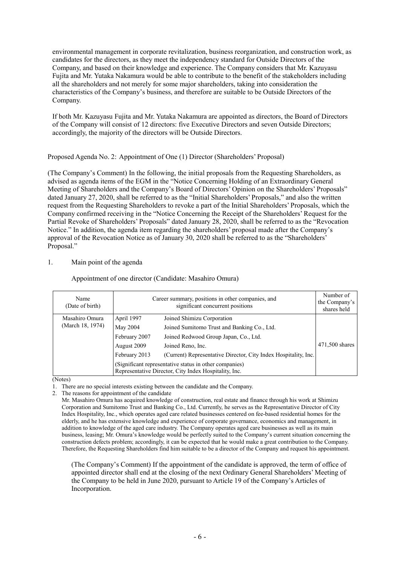environmental management in corporate revitalization, business reorganization, and construction work, as candidates for the directors, as they meet the independency standard for Outside Directors of the Company, and based on their knowledge and experience. The Company considers that Mr. Kazuyasu Fujita and Mr. Yutaka Nakamura would be able to contribute to the benefit of the stakeholders including all the shareholders and not merely for some major shareholders, taking into consideration the characteristics of the Company's business, and therefore are suitable to be Outside Directors of the Company.

If both Mr. Kazuyasu Fujita and Mr. Yutaka Nakamura are appointed as directors, the Board of Directors of the Company will consist of 12 directors: five Executive Directors and seven Outside Directors; accordingly, the majority of the directors will be Outside Directors.

Proposed Agenda No. 2: Appointment of One (1) Director (Shareholders' Proposal)

(The Company's Comment) In the following, the initial proposals from the Requesting Shareholders, as advised as agenda items of the EGM in the "Notice Concerning Holding of an Extraordinary General Meeting of Shareholders and the Company's Board of Directors' Opinion on the Shareholders' Proposals" dated January 27, 2020, shall be referred to as the "Initial Shareholders' Proposals," and also the written request from the Requesting Shareholders to revoke a part of the Initial Shareholders' Proposals, which the Company confirmed receiving in the "Notice Concerning the Receipt of the Shareholders' Request for the Partial Revoke of Shareholders' Proposals" dated January 28, 2020, shall be referred to as the "Revocation Notice." In addition, the agenda item regarding the shareholders' proposal made after the Company's approval of the Revocation Notice as of January 30, 2020 shall be referred to as the "Shareholders' Proposal."

## 1. Main point of the agenda

Appointment of one director (Candidate: Masahiro Omura)

| Name<br>(Date of birth) | Career summary, positions in other companies, and<br>significant concurrent positions                           |                                                                 | Number of<br>the Company's<br>shares held |
|-------------------------|-----------------------------------------------------------------------------------------------------------------|-----------------------------------------------------------------|-------------------------------------------|
| Masahiro Omura          | April 1997                                                                                                      | Joined Shimizu Corporation                                      |                                           |
| (March 18, 1974)        | May 2004                                                                                                        | Joined Sumitomo Trust and Banking Co., Ltd.                     |                                           |
|                         | February 2007                                                                                                   | Joined Redwood Group Japan, Co., Ltd.                           |                                           |
|                         | August 2009                                                                                                     | Joined Reno, Inc.                                               | 471,500 shares                            |
|                         | February 2013                                                                                                   | (Current) Representative Director, City Index Hospitality, Inc. |                                           |
|                         | (Significant representative status in other companies)<br>Representative Director, City Index Hospitality, Inc. |                                                                 |                                           |

(Notes)

1. There are no special interests existing between the candidate and the Company.

2. The reasons for appointment of the candidate

Mr. Masahiro Omura has acquired knowledge of construction, real estate and finance through his work at Shimizu Corporation and Sumitomo Trust and Banking Co., Ltd. Currently, he serves as the Representative Director of City Index Hospitality, Inc., which operates aged care related businesses centered on fee-based residential homes for the elderly, and he has extensive knowledge and experience of corporate governance, economics and management, in addition to knowledge of the aged care industry. The Company operates aged care businesses as well as its main business, leasing; Mr. Omura's knowledge would be perfectly suited to the Company's current situation concerning the construction defects problem; accordingly, it can be expected that he would make a great contribution to the Company. Therefore, the Requesting Shareholders find him suitable to be a director of the Company and request his appointment.

(The Company's Comment) If the appointment of the candidate is approved, the term of office of appointed director shall end at the closing of the next Ordinary General Shareholders' Meeting of the Company to be held in June 2020, pursuant to Article 19 of the Company's Articles of Incorporation.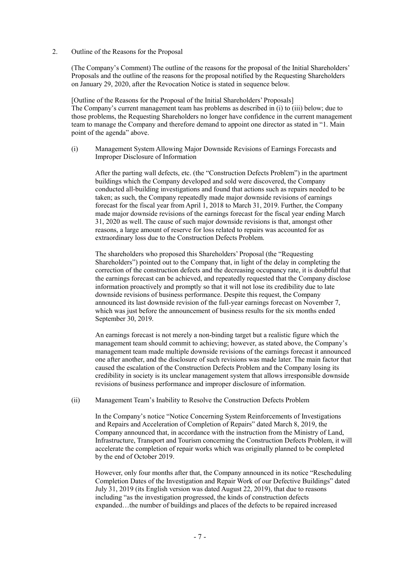2. Outline of the Reasons for the Proposal

(The Company's Comment) The outline of the reasons for the proposal of the Initial Shareholders' Proposals and the outline of the reasons for the proposal notified by the Requesting Shareholders on January 29, 2020, after the Revocation Notice is stated in sequence below.

[Outline of the Reasons for the Proposal of the Initial Shareholders' Proposals] The Company's current management team has problems as described in (i) to (iii) below; due to those problems, the Requesting Shareholders no longer have confidence in the current management team to manage the Company and therefore demand to appoint one director as stated in "1. Main point of the agenda" above.

(i) Management System Allowing Major Downside Revisions of Earnings Forecasts and Improper Disclosure of Information

After the parting wall defects, etc. (the "Construction Defects Problem") in the apartment buildings which the Company developed and sold were discovered, the Company conducted all-building investigations and found that actions such as repairs needed to be taken; as such, the Company repeatedly made major downside revisions of earnings forecast for the fiscal year from April 1, 2018 to March 31, 2019. Further, the Company made major downside revisions of the earnings forecast for the fiscal year ending March 31, 2020 as well. The cause of such major downside revisions is that, amongst other reasons, a large amount of reserve for loss related to repairs was accounted for as extraordinary loss due to the Construction Defects Problem.

The shareholders who proposed this Shareholders' Proposal (the "Requesting Shareholders") pointed out to the Company that, in light of the delay in completing the correction of the construction defects and the decreasing occupancy rate, it is doubtful that the earnings forecast can be achieved, and repeatedly requested that the Company disclose information proactively and promptly so that it will not lose its credibility due to late downside revisions of business performance. Despite this request, the Company announced its last downside revision of the full-year earnings forecast on November 7, which was just before the announcement of business results for the six months ended September 30, 2019.

An earnings forecast is not merely a non-binding target but a realistic figure which the management team should commit to achieving; however, as stated above, the Company's management team made multiple downside revisions of the earnings forecast it announced one after another, and the disclosure of such revisions was made later. The main factor that caused the escalation of the Construction Defects Problem and the Company losing its credibility in society is its unclear management system that allows irresponsible downside revisions of business performance and improper disclosure of information.

(ii) Management Team's Inability to Resolve the Construction Defects Problem

In the Company's notice "Notice Concerning System Reinforcements of Investigations and Repairs and Acceleration of Completion of Repairs" dated March 8, 2019, the Company announced that, in accordance with the instruction from the Ministry of Land, Infrastructure, Transport and Tourism concerning the Construction Defects Problem, it will accelerate the completion of repair works which was originally planned to be completed by the end of October 2019.

However, only four months after that, the Company announced in its notice "Rescheduling Completion Dates of the Investigation and Repair Work of our Defective Buildings" dated July 31, 2019 (its English version was dated August 22, 2019), that due to reasons including "as the investigation progressed, the kinds of construction defects expanded…the number of buildings and places of the defects to be repaired increased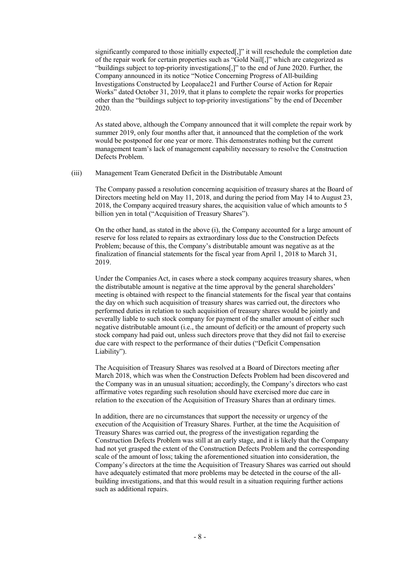significantly compared to those initially expected[,]" it will reschedule the completion date of the repair work for certain properties such as "Gold Nail[,]" which are categorized as "buildings subject to top-priority investigations[,]" to the end of June 2020. Further, the Company announced in its notice "Notice Concerning Progress of All-building Investigations Constructed by Leopalace21 and Further Course of Action for Repair Works" dated October 31, 2019, that it plans to complete the repair works for properties other than the "buildings subject to top-priority investigations" by the end of December 2020.

As stated above, although the Company announced that it will complete the repair work by summer 2019, only four months after that, it announced that the completion of the work would be postponed for one year or more. This demonstrates nothing but the current management team's lack of management capability necessary to resolve the Construction Defects Problem.

(iii) Management Team Generated Deficit in the Distributable Amount

The Company passed a resolution concerning acquisition of treasury shares at the Board of Directors meeting held on May 11, 2018, and during the period from May 14 to August 23, 2018, the Company acquired treasury shares, the acquisition value of which amounts to 5 billion yen in total ("Acquisition of Treasury Shares").

On the other hand, as stated in the above (i), the Company accounted for a large amount of reserve for loss related to repairs as extraordinary loss due to the Construction Defects Problem; because of this, the Company's distributable amount was negative as at the finalization of financial statements for the fiscal year from April 1, 2018 to March 31, 2019.

Under the Companies Act, in cases where a stock company acquires treasury shares, when the distributable amount is negative at the time approval by the general shareholders' meeting is obtained with respect to the financial statements for the fiscal year that contains the day on which such acquisition of treasury shares was carried out, the directors who performed duties in relation to such acquisition of treasury shares would be jointly and severally liable to such stock company for payment of the smaller amount of either such negative distributable amount (i.e., the amount of deficit) or the amount of property such stock company had paid out, unless such directors prove that they did not fail to exercise due care with respect to the performance of their duties ("Deficit Compensation Liability").

The Acquisition of Treasury Shares was resolved at a Board of Directors meeting after March 2018, which was when the Construction Defects Problem had been discovered and the Company was in an unusual situation; accordingly, the Company's directors who cast affirmative votes regarding such resolution should have exercised more due care in relation to the execution of the Acquisition of Treasury Shares than at ordinary times.

In addition, there are no circumstances that support the necessity or urgency of the execution of the Acquisition of Treasury Shares. Further, at the time the Acquisition of Treasury Shares was carried out, the progress of the investigation regarding the Construction Defects Problem was still at an early stage, and it is likely that the Company had not yet grasped the extent of the Construction Defects Problem and the corresponding scale of the amount of loss; taking the aforementioned situation into consideration, the Company's directors at the time the Acquisition of Treasury Shares was carried out should have adequately estimated that more problems may be detected in the course of the allbuilding investigations, and that this would result in a situation requiring further actions such as additional repairs.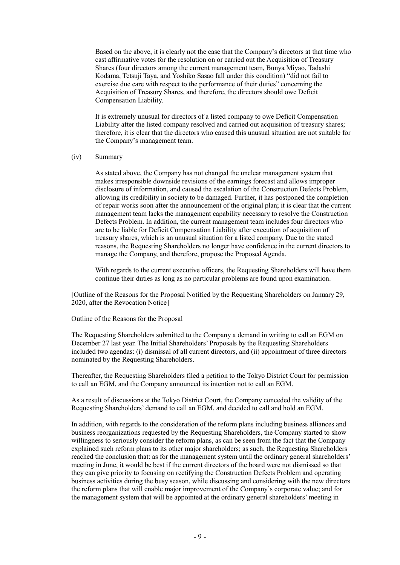Based on the above, it is clearly not the case that the Company's directors at that time who cast affirmative votes for the resolution on or carried out the Acquisition of Treasury Shares (four directors among the current management team, Bunya Miyao, Tadashi Kodama, Tetsuji Taya, and Yoshiko Sasao fall under this condition) "did not fail to exercise due care with respect to the performance of their duties" concerning the Acquisition of Treasury Shares, and therefore, the directors should owe Deficit Compensation Liability.

It is extremely unusual for directors of a listed company to owe Deficit Compensation Liability after the listed company resolved and carried out acquisition of treasury shares; therefore, it is clear that the directors who caused this unusual situation are not suitable for the Company's management team.

### (iv) Summary

As stated above, the Company has not changed the unclear management system that makes irresponsible downside revisions of the earnings forecast and allows improper disclosure of information, and caused the escalation of the Construction Defects Problem, allowing its credibility in society to be damaged. Further, it has postponed the completion of repair works soon after the announcement of the original plan; it is clear that the current management team lacks the management capability necessary to resolve the Construction Defects Problem. In addition, the current management team includes four directors who are to be liable for Deficit Compensation Liability after execution of acquisition of treasury shares, which is an unusual situation for a listed company. Due to the stated reasons, the Requesting Shareholders no longer have confidence in the current directors to manage the Company, and therefore, propose the Proposed Agenda.

With regards to the current executive officers, the Requesting Shareholders will have them continue their duties as long as no particular problems are found upon examination.

[Outline of the Reasons for the Proposal Notified by the Requesting Shareholders on January 29, 2020, after the Revocation Notice]

Outline of the Reasons for the Proposal

The Requesting Shareholders submitted to the Company a demand in writing to call an EGM on December 27 last year. The Initial Shareholders' Proposals by the Requesting Shareholders included two agendas: (i) dismissal of all current directors, and (ii) appointment of three directors nominated by the Requesting Shareholders.

Thereafter, the Requesting Shareholders filed a petition to the Tokyo District Court for permission to call an EGM, and the Company announced its intention not to call an EGM.

As a result of discussions at the Tokyo District Court, the Company conceded the validity of the Requesting Shareholders' demand to call an EGM, and decided to call and hold an EGM.

In addition, with regards to the consideration of the reform plans including business alliances and business reorganizations requested by the Requesting Shareholders, the Company started to show willingness to seriously consider the reform plans, as can be seen from the fact that the Company explained such reform plans to its other major shareholders; as such, the Requesting Shareholders reached the conclusion that: as for the management system until the ordinary general shareholders' meeting in June, it would be best if the current directors of the board were not dismissed so that they can give priority to focusing on rectifying the Construction Defects Problem and operating business activities during the busy season, while discussing and considering with the new directors the reform plans that will enable major improvement of the Company's corporate value; and for the management system that will be appointed at the ordinary general shareholders' meeting in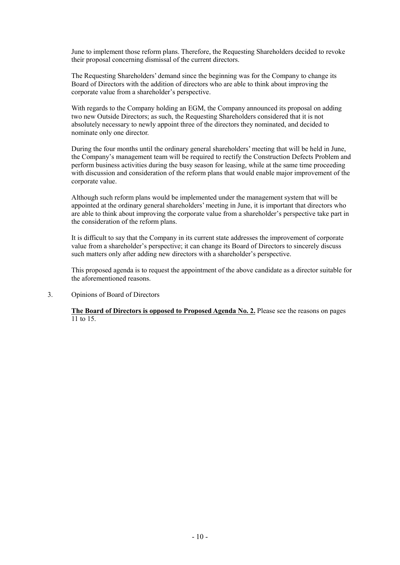June to implement those reform plans. Therefore, the Requesting Shareholders decided to revoke their proposal concerning dismissal of the current directors.

The Requesting Shareholders' demand since the beginning was for the Company to change its Board of Directors with the addition of directors who are able to think about improving the corporate value from a shareholder's perspective.

With regards to the Company holding an EGM, the Company announced its proposal on adding two new Outside Directors; as such, the Requesting Shareholders considered that it is not absolutely necessary to newly appoint three of the directors they nominated, and decided to nominate only one director.

During the four months until the ordinary general shareholders' meeting that will be held in June, the Company's management team will be required to rectify the Construction Defects Problem and perform business activities during the busy season for leasing, while at the same time proceeding with discussion and consideration of the reform plans that would enable major improvement of the corporate value.

Although such reform plans would be implemented under the management system that will be appointed at the ordinary general shareholders' meeting in June, it is important that directors who are able to think about improving the corporate value from a shareholder's perspective take part in the consideration of the reform plans.

It is difficult to say that the Company in its current state addresses the improvement of corporate value from a shareholder's perspective; it can change its Board of Directors to sincerely discuss such matters only after adding new directors with a shareholder's perspective.

This proposed agenda is to request the appointment of the above candidate as a director suitable for the aforementioned reasons.

3. Opinions of Board of Directors

**The Board of Directors is opposed to Proposed Agenda No. 2.** Please see the reasons on pages 11 to 15.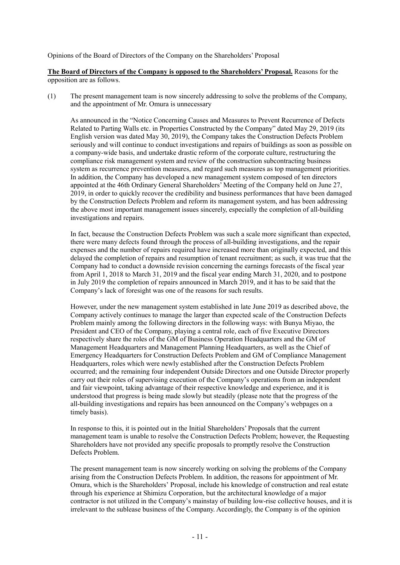Opinions of the Board of Directors of the Company on the Shareholders' Proposal

**The Board of Directors of the Company is opposed to the Shareholders' Proposal.** Reasons for the opposition are as follows.

(1) The present management team is now sincerely addressing to solve the problems of the Company, and the appointment of Mr. Omura is unnecessary

As announced in the "Notice Concerning Causes and Measures to Prevent Recurrence of Defects Related to Parting Walls etc. in Properties Constructed by the Company" dated May 29, 2019 (its English version was dated May 30, 2019), the Company takes the Construction Defects Problem seriously and will continue to conduct investigations and repairs of buildings as soon as possible on a company-wide basis, and undertake drastic reform of the corporate culture, restructuring the compliance risk management system and review of the construction subcontracting business system as recurrence prevention measures, and regard such measures as top management priorities. In addition, the Company has developed a new management system composed of ten directors appointed at the 46th Ordinary General Shareholders' Meeting of the Company held on June 27, 2019, in order to quickly recover the credibility and business performances that have been damaged by the Construction Defects Problem and reform its management system, and has been addressing the above most important management issues sincerely, especially the completion of all-building investigations and repairs.

In fact, because the Construction Defects Problem was such a scale more significant than expected, there were many defects found through the process of all-building investigations, and the repair expenses and the number of repairs required have increased more than originally expected, and this delayed the completion of repairs and resumption of tenant recruitment; as such, it was true that the Company had to conduct a downside revision concerning the earnings forecasts of the fiscal year from April 1, 2018 to March 31, 2019 and the fiscal year ending March 31, 2020, and to postpone in July 2019 the completion of repairs announced in March 2019, and it has to be said that the Company's lack of foresight was one of the reasons for such results.

However, under the new management system established in late June 2019 as described above, the Company actively continues to manage the larger than expected scale of the Construction Defects Problem mainly among the following directors in the following ways: with Bunya Miyao, the President and CEO of the Company, playing a central role, each of five Executive Directors respectively share the roles of the GM of Business Operation Headquarters and the GM of Management Headquarters and Management Planning Headquarters, as well as the Chief of Emergency Headquarters for Construction Defects Problem and GM of Compliance Management Headquarters, roles which were newly established after the Construction Defects Problem occurred; and the remaining four independent Outside Directors and one Outside Director properly carry out their roles of supervising execution of the Company's operations from an independent and fair viewpoint, taking advantage of their respective knowledge and experience, and it is understood that progress is being made slowly but steadily (please note that the progress of the all-building investigations and repairs has been announced on the Company's webpages on a timely basis).

In response to this, it is pointed out in the Initial Shareholders' Proposals that the current management team is unable to resolve the Construction Defects Problem; however, the Requesting Shareholders have not provided any specific proposals to promptly resolve the Construction Defects Problem.

The present management team is now sincerely working on solving the problems of the Company arising from the Construction Defects Problem. In addition, the reasons for appointment of Mr. Omura, which is the Shareholders' Proposal, include his knowledge of construction and real estate through his experience at Shimizu Corporation, but the architectural knowledge of a major contractor is not utilized in the Company's mainstay of building low-rise collective houses, and it is irrelevant to the sublease business of the Company. Accordingly, the Company is of the opinion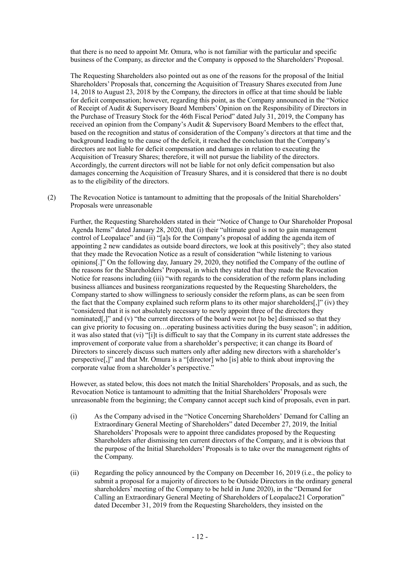that there is no need to appoint Mr. Omura, who is not familiar with the particular and specific business of the Company, as director and the Company is opposed to the Shareholders' Proposal.

The Requesting Shareholders also pointed out as one of the reasons for the proposal of the Initial Shareholders' Proposals that, concerning the Acquisition of Treasury Shares executed from June 14, 2018 to August 23, 2018 by the Company, the directors in office at that time should be liable for deficit compensation; however, regarding this point, as the Company announced in the "Notice of Receipt of Audit & Supervisory Board Members' Opinion on the Responsibility of Directors in the Purchase of Treasury Stock for the 46th Fiscal Period" dated July 31, 2019, the Company has received an opinion from the Company's Audit & Supervisory Board Members to the effect that, based on the recognition and status of consideration of the Company's directors at that time and the background leading to the cause of the deficit, it reached the conclusion that the Company's directors are not liable for deficit compensation and damages in relation to executing the Acquisition of Treasury Shares; therefore, it will not pursue the liability of the directors. Accordingly, the current directors will not be liable for not only deficit compensation but also damages concerning the Acquisition of Treasury Shares, and it is considered that there is no doubt as to the eligibility of the directors.

(2) The Revocation Notice is tantamount to admitting that the proposals of the Initial Shareholders' Proposals were unreasonable

Further, the Requesting Shareholders stated in their "Notice of Change to Our Shareholder Proposal Agenda Items" dated January 28, 2020, that (i) their "ultimate goal is not to gain management control of Leopalace" and (ii) "[a]s for the Company's proposal of adding the agenda item of appointing 2 new candidates as outside board directors, we look at this positively"; they also stated that they made the Revocation Notice as a result of consideration "while listening to various opinions[.]" On the following day, January 29, 2020, they notified the Company of the outline of the reasons for the Shareholders' Proposal, in which they stated that they made the Revocation Notice for reasons including (iii) "with regards to the consideration of the reform plans including business alliances and business reorganizations requested by the Requesting Shareholders, the Company started to show willingness to seriously consider the reform plans, as can be seen from the fact that the Company explained such reform plans to its other major shareholders[,]" (iv) they "considered that it is not absolutely necessary to newly appoint three of the directors they nominated[,]" and (v) "the current directors of the board were not [to be] dismissed so that they can give priority to focusing on…operating business activities during the busy season"; in addition, it was also stated that (vi) "[i]t is difficult to say that the Company in its current state addresses the improvement of corporate value from a shareholder's perspective; it can change its Board of Directors to sincerely discuss such matters only after adding new directors with a shareholder's perspective[,]" and that Mr. Omura is a "[director] who [is] able to think about improving the corporate value from a shareholder's perspective."

However, as stated below, this does not match the Initial Shareholders' Proposals, and as such, the Revocation Notice is tantamount to admitting that the Initial Shareholders' Proposals were unreasonable from the beginning; the Company cannot accept such kind of proposals, even in part.

- (i) As the Company advised in the "Notice Concerning Shareholders' Demand for Calling an Extraordinary General Meeting of Shareholders" dated December 27, 2019, the Initial Shareholders' Proposals were to appoint three candidates proposed by the Requesting Shareholders after dismissing ten current directors of the Company, and it is obvious that the purpose of the Initial Shareholders' Proposals is to take over the management rights of the Company.
- (ii) Regarding the policy announced by the Company on December 16, 2019 (i.e., the policy to submit a proposal for a majority of directors to be Outside Directors in the ordinary general shareholders' meeting of the Company to be held in June 2020), in the "Demand for Calling an Extraordinary General Meeting of Shareholders of Leopalace21 Corporation" dated December 31, 2019 from the Requesting Shareholders, they insisted on the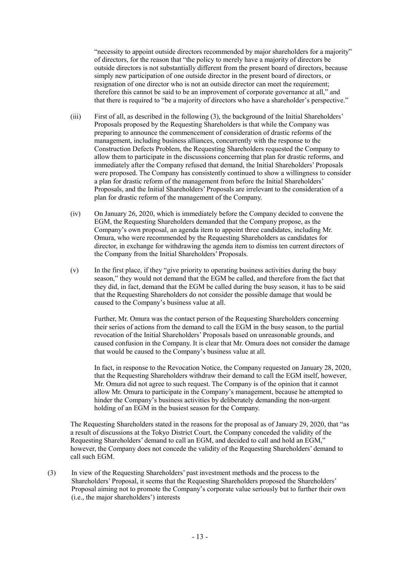"necessity to appoint outside directors recommended by major shareholders for a majority" of directors, for the reason that "the policy to merely have a majority of directors be outside directors is not substantially different from the present board of directors, because simply new participation of one outside director in the present board of directors, or resignation of one director who is not an outside director can meet the requirement; therefore this cannot be said to be an improvement of corporate governance at all," and that there is required to "be a majority of directors who have a shareholder's perspective."

- (iii) First of all, as described in the following (3), the background of the Initial Shareholders' Proposals proposed by the Requesting Shareholders is that while the Company was preparing to announce the commencement of consideration of drastic reforms of the management, including business alliances, concurrently with the response to the Construction Defects Problem, the Requesting Shareholders requested the Company to allow them to participate in the discussions concerning that plan for drastic reforms, and immediately after the Company refused that demand, the Initial Shareholders' Proposals were proposed. The Company has consistently continued to show a willingness to consider a plan for drastic reform of the management from before the Initial Shareholders' Proposals, and the Initial Shareholders' Proposals are irrelevant to the consideration of a plan for drastic reform of the management of the Company.
- (iv) On January 26, 2020, which is immediately before the Company decided to convene the EGM, the Requesting Shareholders demanded that the Company propose, as the Company's own proposal, an agenda item to appoint three candidates, including Mr. Omura, who were recommended by the Requesting Shareholders as candidates for director, in exchange for withdrawing the agenda item to dismiss ten current directors of the Company from the Initial Shareholders' Proposals.
- (v) In the first place, if they "give priority to operating business activities during the busy season," they would not demand that the EGM be called, and therefore from the fact that they did, in fact, demand that the EGM be called during the busy season, it has to be said that the Requesting Shareholders do not consider the possible damage that would be caused to the Company's business value at all.

Further, Mr. Omura was the contact person of the Requesting Shareholders concerning their series of actions from the demand to call the EGM in the busy season, to the partial revocation of the Initial Shareholders' Proposals based on unreasonable grounds, and caused confusion in the Company. It is clear that Mr. Omura does not consider the damage that would be caused to the Company's business value at all.

In fact, in response to the Revocation Notice, the Company requested on January 28, 2020, that the Requesting Shareholders withdraw their demand to call the EGM itself, however, Mr. Omura did not agree to such request. The Company is of the opinion that it cannot allow Mr. Omura to participate in the Company's management, because he attempted to hinder the Company's business activities by deliberately demanding the non-urgent holding of an EGM in the busiest season for the Company.

The Requesting Shareholders stated in the reasons for the proposal as of January 29, 2020, that "as a result of discussions at the Tokyo District Court, the Company conceded the validity of the Requesting Shareholders' demand to call an EGM, and decided to call and hold an EGM," however, the Company does not concede the validity of the Requesting Shareholders' demand to call such EGM.

(3) In view of the Requesting Shareholders' past investment methods and the process to the Shareholders' Proposal, it seems that the Requesting Shareholders proposed the Shareholders' Proposal aiming not to promote the Company's corporate value seriously but to further their own (i.e., the major shareholders') interests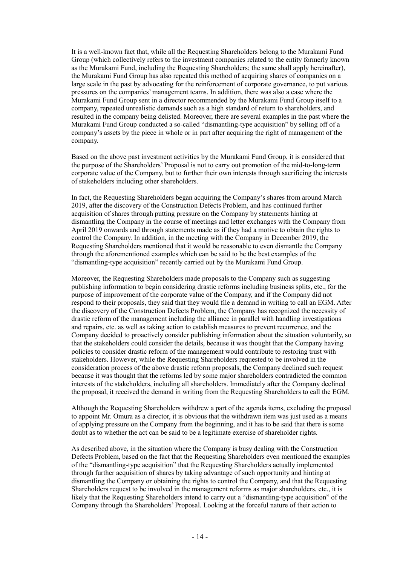It is a well-known fact that, while all the Requesting Shareholders belong to the Murakami Fund Group (which collectively refers to the investment companies related to the entity formerly known as the Murakami Fund, including the Requesting Shareholders; the same shall apply hereinafter), the Murakami Fund Group has also repeated this method of acquiring shares of companies on a large scale in the past by advocating for the reinforcement of corporate governance, to put various pressures on the companies' management teams. In addition, there was also a case where the Murakami Fund Group sent in a director recommended by the Murakami Fund Group itself to a company, repeated unrealistic demands such as a high standard of return to shareholders, and resulted in the company being delisted. Moreover, there are several examples in the past where the Murakami Fund Group conducted a so-called "dismantling-type acquisition" by selling off of a company's assets by the piece in whole or in part after acquiring the right of management of the company.

Based on the above past investment activities by the Murakami Fund Group, it is considered that the purpose of the Shareholders' Proposal is not to carry out promotion of the mid-to-long-term corporate value of the Company, but to further their own interests through sacrificing the interests of stakeholders including other shareholders.

In fact, the Requesting Shareholders began acquiring the Company's shares from around March 2019, after the discovery of the Construction Defects Problem, and has continued further acquisition of shares through putting pressure on the Company by statements hinting at dismantling the Company in the course of meetings and letter exchanges with the Company from April 2019 onwards and through statements made as if they had a motive to obtain the rights to control the Company. In addition, in the meeting with the Company in December 2019, the Requesting Shareholders mentioned that it would be reasonable to even dismantle the Company through the aforementioned examples which can be said to be the best examples of the "dismantling-type acquisition" recently carried out by the Murakami Fund Group.

Moreover, the Requesting Shareholders made proposals to the Company such as suggesting publishing information to begin considering drastic reforms including business splits, etc., for the purpose of improvement of the corporate value of the Company, and if the Company did not respond to their proposals, they said that they would file a demand in writing to call an EGM. After the discovery of the Construction Defects Problem, the Company has recognized the necessity of drastic reform of the management including the alliance in parallel with handling investigations and repairs, etc. as well as taking action to establish measures to prevent recurrence, and the Company decided to proactively consider publishing information about the situation voluntarily, so that the stakeholders could consider the details, because it was thought that the Company having policies to consider drastic reform of the management would contribute to restoring trust with stakeholders. However, while the Requesting Shareholders requested to be involved in the consideration process of the above drastic reform proposals, the Company declined such request because it was thought that the reforms led by some major shareholders contradicted the common interests of the stakeholders, including all shareholders. Immediately after the Company declined the proposal, it received the demand in writing from the Requesting Shareholders to call the EGM.

Although the Requesting Shareholders withdrew a part of the agenda items, excluding the proposal to appoint Mr. Omura as a director, it is obvious that the withdrawn item was just used as a means of applying pressure on the Company from the beginning, and it has to be said that there is some doubt as to whether the act can be said to be a legitimate exercise of shareholder rights.

As described above, in the situation where the Company is busy dealing with the Construction Defects Problem, based on the fact that the Requesting Shareholders even mentioned the examples of the "dismantling-type acquisition" that the Requesting Shareholders actually implemented through further acquisition of shares by taking advantage of such opportunity and hinting at dismantling the Company or obtaining the rights to control the Company, and that the Requesting Shareholders request to be involved in the management reforms as major shareholders, etc., it is likely that the Requesting Shareholders intend to carry out a "dismantling-type acquisition" of the Company through the Shareholders' Proposal. Looking at the forceful nature of their action to